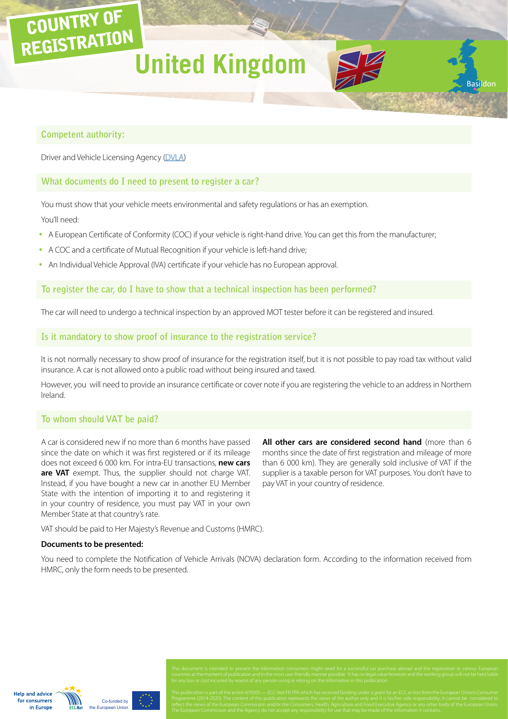## **United Kingdom**



**Basildor** 

#### **Competent authority:**

COUNTRY OF

REGISTRATION

Driver and Vehicle Licensing Agency ([DVLA](https://www.gov.uk/contact-the-dvla))

#### **What documents do I need to present to register a car?**

You must show that your vehicle meets environmental and safety regulations or has an exemption.

You'll need:

- A European Certificate of Conformity (COC) if your vehicle is right-hand drive. You can get this from the manufacturer;
- A COC and a certificate of Mutual Recognition if your vehicle is left-hand drive;
- An Individual Vehicle Approval (IVA) certificate if your vehicle has no European approval.

### **To register the car, do I have to show that a technical inspection has been performed?**

The car will need to undergo a technical inspection by an approved MOT tester before it can be registered and insured.

#### **Is it mandatory to show proof of insurance to the registration service?**

It is not normally necessary to show proof of insurance for the registration itself, but it is not possible to pay road tax without valid insurance. A car is not allowed onto a public road without being insured and taxed.

However, you will need to provide an insurance certificate or cover note if you are registering the vehicle to an address in Northern Ireland.

### **To whom should VAT be paid?**

A car is considered new if no more than 6 months have passed since the date on which it was first registered or if its mileage does not exceed 6 000 km. For intra-EU transactions, **new cars are VAT** exempt. Thus, the supplier should not charge VAT. Instead, if you have bought a new car in another EU Member State with the intention of importing it to and registering it in your country of residence, you must pay VAT in your own Member State at that country's rate.

**All other cars are considered second hand** (more than 6 months since the date of first registration and mileage of more than 6 000 km). They are generally sold inclusive of VAT if the supplier is a taxable person for VAT purposes. You don't have to pay VAT in your country of residence.

VAT should be paid to Her Majesty's Revenue and Customs (HMRC).

#### **Documents to be presented:**

You need to complete the Notification of Vehicle Arrivals (NOVA) declaration form. According to the information received from HMRC, only the form needs to be presented.

**Help and advice** for consumers in Europe